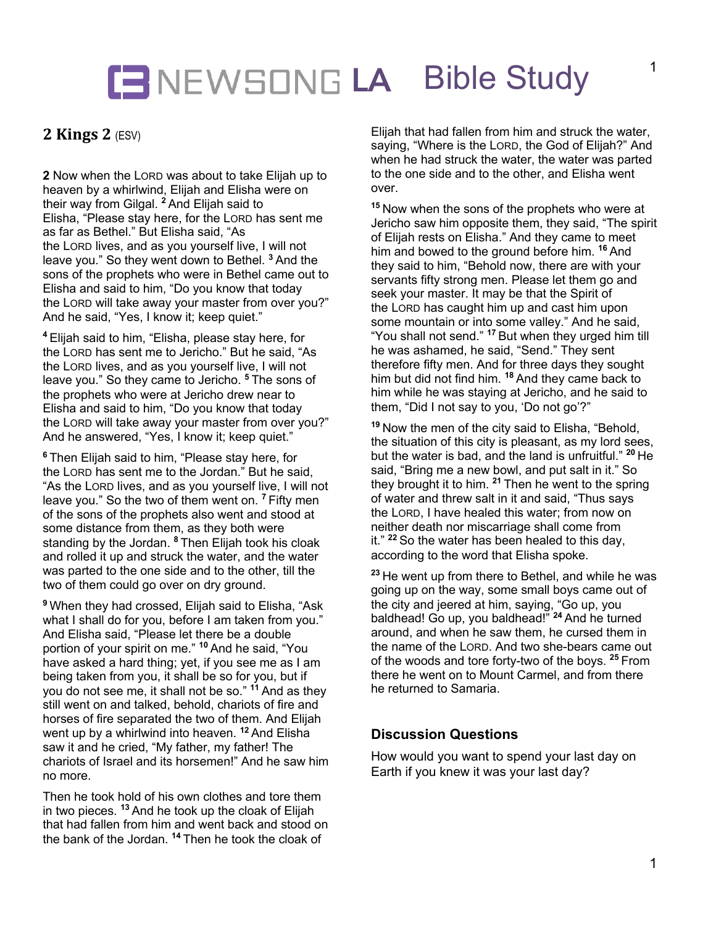# **LA** Bible Study

## **2 Kings 2 (ESV)**

**2** Now when the LORD was about to take Elijah up to heaven by a whirlwind, Elijah and Elisha were on their way from Gilgal. **<sup>2</sup>** And Elijah said to Elisha, "Please stay here, for the LORD has sent me as far as Bethel." But Elisha said, "As the LORD lives, and as you yourself live, I will not leave you." So they went down to Bethel. **<sup>3</sup>** And the sons of the prophets who were in Bethel came out to Elisha and said to him, "Do you know that today the LORD will take away your master from over you?" And he said, "Yes, I know it; keep quiet."

**<sup>4</sup>** Elijah said to him, "Elisha, please stay here, for the LORD has sent me to Jericho." But he said, "As the LORD lives, and as you yourself live, I will not leave you." So they came to Jericho. **<sup>5</sup>** The sons of the prophets who were at Jericho drew near to Elisha and said to him, "Do you know that today the LORD will take away your master from over you?" And he answered, "Yes, I know it; keep quiet."

**<sup>6</sup>** Then Elijah said to him, "Please stay here, for the LORD has sent me to the Jordan." But he said, "As the LORD lives, and as you yourself live, I will not leave you." So the two of them went on. **<sup>7</sup>** Fifty men of the sons of the prophets also went and stood at some distance from them, as they both were standing by the Jordan. **<sup>8</sup>** Then Elijah took his cloak and rolled it up and struck the water, and the water was parted to the one side and to the other, till the two of them could go over on dry ground.

**<sup>9</sup>** When they had crossed, Elijah said to Elisha, "Ask what I shall do for you, before I am taken from you." And Elisha said, "Please let there be a double portion of your spirit on me." **<sup>10</sup>** And he said, "You have asked a hard thing; yet, if you see me as I am being taken from you, it shall be so for you, but if you do not see me, it shall not be so." **<sup>11</sup>** And as they still went on and talked, behold, chariots of fire and horses of fire separated the two of them. And Elijah went up by a whirlwind into heaven. **<sup>12</sup>** And Elisha saw it and he cried, "My father, my father! The chariots of Israel and its horsemen!" And he saw him no more.

Then he took hold of his own clothes and tore them in two pieces. **<sup>13</sup>** And he took up the cloak of Elijah that had fallen from him and went back and stood on the bank of the Jordan. **<sup>14</sup>** Then he took the cloak of

Elijah that had fallen from him and struck the water, saying, "Where is the LORD, the God of Elijah?" And when he had struck the water, the water was parted to the one side and to the other, and Elisha went over.

**<sup>15</sup>** Now when the sons of the prophets who were at Jericho saw him opposite them, they said, "The spirit of Elijah rests on Elisha." And they came to meet him and bowed to the ground before him. **<sup>16</sup>** And they said to him, "Behold now, there are with your servants fifty strong men. Please let them go and seek your master. It may be that the Spirit of the LORD has caught him up and cast him upon some mountain or into some valley." And he said, "You shall not send." **<sup>17</sup>** But when they urged him till he was ashamed, he said, "Send." They sent therefore fifty men. And for three days they sought him but did not find him. **<sup>18</sup>** And they came back to him while he was staying at Jericho, and he said to them, "Did I not say to you, 'Do not go'?"

**<sup>19</sup>** Now the men of the city said to Elisha, "Behold, the situation of this city is pleasant, as my lord sees, but the water is bad, and the land is unfruitful." **<sup>20</sup>** He said, "Bring me a new bowl, and put salt in it." So they brought it to him. **<sup>21</sup>** Then he went to the spring of water and threw salt in it and said, "Thus says the LORD, I have healed this water; from now on neither death nor miscarriage shall come from it." **<sup>22</sup>** So the water has been healed to this day, according to the word that Elisha spoke.

**<sup>23</sup>** He went up from there to Bethel, and while he was going up on the way, some small boys came out of the city and jeered at him, saying, "Go up, you baldhead! Go up, you baldhead!" **<sup>24</sup>** And he turned around, and when he saw them, he cursed them in the name of the LORD. And two she-bears came out of the woods and tore forty-two of the boys. **<sup>25</sup>** From there he went on to Mount Carmel, and from there he returned to Samaria.

#### **Discussion Questions**

How would you want to spend your last day on Earth if you knew it was your last day?